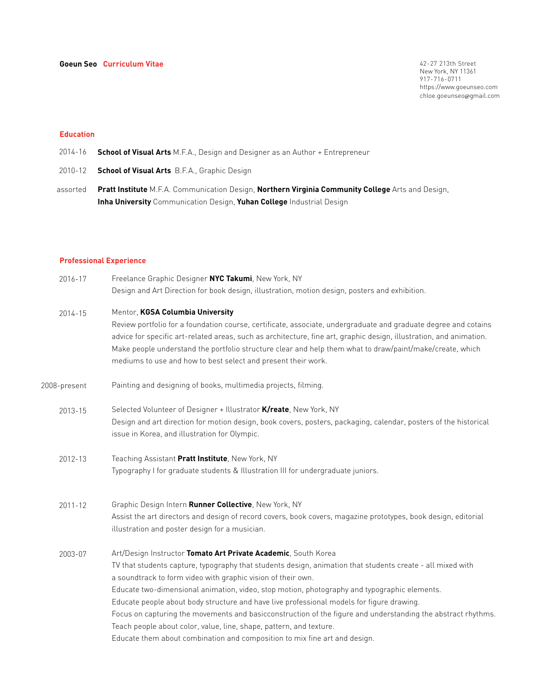42-27 213th Street New York, NY 11361 917-716-0711 https://www.goeunseo.com chloe.goeunseo@gmail.com

# **Education**

- 2014-16 **School of Visual Arts** M.F.A., Design and Designer as an Author + Entrepreneur
- 2010-12 **School of Visual Arts** B.F.A., Graphic Design
- assorted **Pratt Institute** M.F.A. Communication Design, **Northern Virginia Community College** Arts and Design, **Inha University** Communication Design, **Yuhan College** Industrial Design

## **Professional Experience**

| 2016-17      | Freelance Graphic Designer NYC Takumi, New York, NY<br>Design and Art Direction for book design, illustration, motion design, posters and exhibition.                                                                                                                                                                                                                                                                                                                                                                                                                                                                                                                                                          |
|--------------|----------------------------------------------------------------------------------------------------------------------------------------------------------------------------------------------------------------------------------------------------------------------------------------------------------------------------------------------------------------------------------------------------------------------------------------------------------------------------------------------------------------------------------------------------------------------------------------------------------------------------------------------------------------------------------------------------------------|
| $2014 - 15$  | Mentor, KGSA Columbia University<br>Review portfolio for a foundation course, certificate, associate, undergraduate and graduate degree and cotains<br>advice for specific art-related areas, such as architecture, fine art, graphic design, illustration, and animation.<br>Make people understand the portfolio structure clear and help them what to draw/paint/make/create, which<br>mediums to use and how to best select and present their work.                                                                                                                                                                                                                                                        |
| 2008-present | Painting and designing of books, multimedia projects, filming.                                                                                                                                                                                                                                                                                                                                                                                                                                                                                                                                                                                                                                                 |
| 2013-15      | Selected Volunteer of Designer + Illustrator K/reate, New York, NY<br>Design and art direction for motion design, book covers, posters, packaging, calendar, posters of the historical<br>issue in Korea, and illustration for Olympic.                                                                                                                                                                                                                                                                                                                                                                                                                                                                        |
| 2012-13      | Teaching Assistant Pratt Institute, New York, NY<br>Typography I for graduate students & Illustration III for undergraduate juniors.                                                                                                                                                                                                                                                                                                                                                                                                                                                                                                                                                                           |
| $2011 - 12$  | Graphic Design Intern Runner Collective, New York, NY<br>Assist the art directors and design of record covers, book covers, magazine prototypes, book design, editorial<br>illustration and poster design for a musician.                                                                                                                                                                                                                                                                                                                                                                                                                                                                                      |
| 2003-07      | Art/Design Instructor Tomato Art Private Academic, South Korea<br>TV that students capture, typography that students design, animation that students create - all mixed with<br>a soundtrack to form video with graphic vision of their own.<br>Educate two-dimensional animation, video, stop motion, photography and typographic elements.<br>Educate people about body structure and have live professional models for figure drawing.<br>Focus on capturing the movements and basicconstruction of the figure and understanding the abstract rhythms.<br>Teach people about color, value, line, shape, pattern, and texture.<br>Educate them about combination and composition to mix fine art and design. |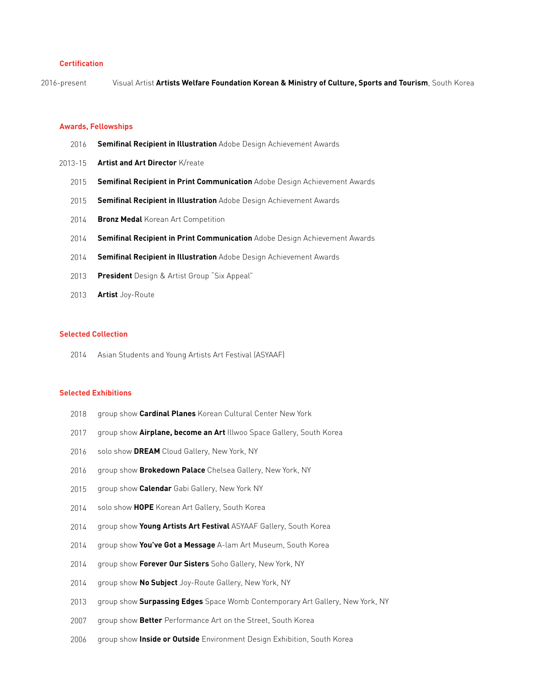## **Certification**

2016-present Visual Artist **Artists Welfare Foundation Korean & Ministry of Culture, Sports and Tourism**, South Korea

#### **Awards, Fellowships**

- 2016 **Semifinal Recipient in Illustration** Adobe Design Achievement Awards
- 2013-15 **Artist and Art Director** K/reate
	- 2015 **Semifinal Recipient in Print Communication** Adobe Design Achievement Awards
	- 2015 **Semifinal Recipient in Illustration** Adobe Design Achievement Awards
	- 2014 **Bronz Medal** Korean Art Competition
	- 2014 **Semifinal Recipient in Print Communication** Adobe Design Achievement Awards
	- 2014 **Semifinal Recipient in Illustration** Adobe Design Achievement Awards
	- 2013 **President** Design & Artist Group "Six Appeal"
	- 2013 **Artist** Joy-Route

## **Selected Collection**

2014 Asian Students and Young Artists Art Festival (ASYAAF)

### **Selected Exhibitions**

- 2018 group show **Cardinal Planes** Korean Cultural Center New York
- 2017 group show **Airplane, become an Art** Illwoo Space Gallery, South Korea
- 2016 solo show **DREAM** Cloud Gallery, New York, NY
- 2016 group show **Brokedown Palace** Chelsea Gallery, New York, NY
- 2015 group show **Calendar** Gabi Gallery, New York NY
- 2014 solo show **HOPE** Korean Art Gallery, South Korea
- 2014 group show **Young Artists Art Festival** ASYAAF Gallery, South Korea
- 2014 group show **You've Got a Message** A-lam Art Museum, South Korea
- 2014 group show **Forever Our Sisters** Soho Gallery, New York, NY
- 2014 group show **No Subject** Joy-Route Gallery, New York, NY
- 2013 group show **Surpassing Edges** Space Womb Contemporary Art Gallery, New York, NY
- 2007 group show **Better** Performance Art on the Street, South Korea
- 2006 group show **Inside or Outside** Environment Design Exhibition, South Korea